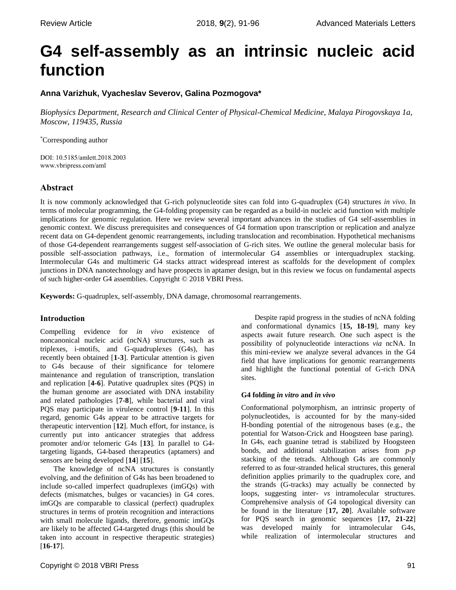# **G4 self-assembly as an intrinsic nucleic acid function**

# **Anna Varizhuk, Vyacheslav Severov, Galina Pozmogova\***

*Biophysics Department, Research and Clinical Center of Physical-Chemical Medicine, Malaya Pirogovskaya 1a, Moscow, 119435, Russia*

\*Corresponding author

DOI: 10.5185/amlett.2018.2003 www.vbripress.com/aml

# **Abstract**

It is now commonly acknowledged that G-rich polynucleotide sites can fold into G-quadruplex (G4) structures *in vivo*. In terms of molecular programming, the G4-folding propensity can be regarded as a build-in nucleic acid function with multiple implications for genomic regulation. Here we review several important advances in the studies of G4 self-assemblies in genomic context. We discuss prerequisites and consequences of G4 formation upon transcription or replication and analyze recent data on G4-dependent genomic rearrangements, including translocation and recombination. Hypothetical mechanisms of those G4-dependent rearrangements suggest self-association of G-rich sites. We outline the general molecular basis for possible self-association pathways, i.e., formation of intermolecular G4 assemblies or interquadruplex stacking. Intermolecular G4s and multimeric G4 stacks attract widespread interest as scaffolds for the development of complex junctions in DNA nanotechnology and have prospects in aptamer design, but in this review we focus on fundamental aspects of such higher-order G4 assemblies. Copyright © 2018 VBRI Press.

**Keywords:** G-quadruplex, self-assembly, DNA damage, chromosomal rearrangements.

## **Introduction**

Compelling evidence for *in vivo* existence of noncanonical nucleic acid (ncNA) structures, such as triplexes, i-motifs, and G-quadruplexes (G4s), has recently been obtained [**1-3**]. Particular attention is given to G4s because of their significance for telomere maintenance and regulation of transcription, translation and replication [**4-6**]. Putative quadruplex sites (PQS) in the human genome are associated with DNA instability and related pathologies [**7-8**], while bacterial and viral PQS may participate in virulence control [**9-11**]. In this regard, genomic G4s appear to be attractive targets for therapeutic intervention [**12**]. Much effort, for instance, is currently put into anticancer strategies that address promoter and/or telomeric G4s [**13**]. In parallel to G4 targeting ligands, G4-based therapeutics (aptamers) and sensors are being developed [**14**] [**15**].

The knowledge of ncNA structures is constantly evolving, and the definition of G4s has been broadened to include so-called imperfect quadruplexes (imGQs) with defects (mismatches, bulges or vacancies) in G4 cores. imGQs are comparable to classical (perfect) quadruplex structures in terms of protein recognition and interactions with small molecule ligands, therefore, genomic imGQs are likely to be affected G4-targeted drugs (this should be taken into account in respective therapeutic strategies) [**16-17**].

Despite rapid progress in the studies of ncNA folding and conformational dynamics [**15, 18-19**], many key aspects await future research. One such aspect is the possibility of polynucleotide interactions *via* ncNA. In this mini-review we analyze several advances in the G4 field that have implications for genomic rearrangements and highlight the functional potential of G-rich DNA sites.

## **G4 folding** *in vitro* **and** *in vivo*

Conformational polymorphism, an intrinsic property of polynucleotides, is accounted for by the many-sided H-bonding potential of the nitrogenous bases (e.g., the potential for Watson-Crick and Hoogsteen base paring). In G4s, each guanine tetrad is stabilized by Hoogsteen bonds, and additional stabilization arises from *p-p* stacking of the tetrads. Although G4s are commonly referred to as four-stranded helical structures, this general definition applies primarily to the quadruplex core, and the strands (G-tracks) may actually be connected by loops, suggesting inter- *vs* intramolecular structures. Comprehensive analysis of G4 topological diversity can be found in the literature [**17, 20**]. Available software for PQS search in genomic sequences [**17, 21-22**] was developed mainly for intramolecular G4s, while realization of intermolecular structures and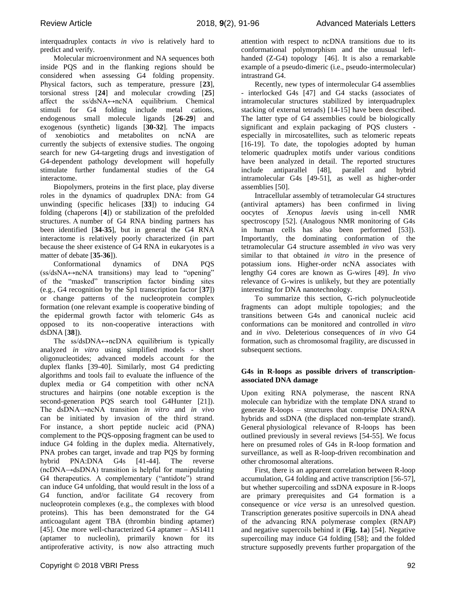interquadruplex contacts *in vivo* is relatively hard to predict and verify.

Molecular microenvironment and NA sequences both inside PQS and in the flanking regions should be considered when assessing G4 folding propensity. Physical factors, such as temperature, pressure [**23**], torsional stress [**24**] and molecular crowding [**25**] affect the ss/dsNA↔ncNA equilibrium. Chemical stimuli for G4 folding include metal cations, endogenous small molecule ligands [**26-29**] and exogenous (synthetic) ligands [**30-32**]. The impacts of xenobiotics and metabolites on ncNA are currently the subjects of extensive studies. The ongoing search for new G4-targeting drugs and investigation of G4-dependent pathology development will hopefully stimulate further fundamental studies of the G4 interactome.

Biopolymers, proteins in the first place, play diverse roles in the dynamics of quadruplex DNA: from G4 unwinding (specific helicases [**33**]) to inducing G4 folding (chaperons [**4**]) or stabilization of the prefolded structures. А number of G4 RNA binding partners has been identified [**34-35**], but in general the G4 RNA interactome is relatively poorly characterized (in part because the sheer existence of G4 RNA in eukaryotes is a matter of debate [**35-36**]).

Conformational dynamics of DNA PQS  $(ss/dsNA \leftrightarrow ncNA$  transitions) may lead to "opening" of the "masked" transcription factor binding sites (e.g., G4 recognition by the Sp1 transcription factor [**37**]) or change patterns of the nucleoprotein complex formation (one relevant example is cooperative binding of the epidermal growth factor with telomeric G4s as opposed to its non-cooperative interactions with dsDNA [**38**]).

The  $ss/dsDNA \leftrightarrow ncDNA$  equilibrium is typically analyzed *in vitro* using simplified models - short oligonucleotides; advanced models account for the duplex flanks [39-40]. Similarly, most G4 predicting algorithms and tools fail to evaluate the influence of the duplex media or G4 competition with other ncNA structures and hairpins (one notable exception is the second-generation PQS search tool G4Hunter [21]). The dsDNA→ncNA transition *in vitro* and *in vivo* can be initiated by invasion of the third strand. For instance, a short peptide nucleic acid (PNA) complement to the PQS-opposing fragment can be used to induce G4 folding in the duplex media. Alternatively, PNA probes can target, invade and trap PQS by forming hybrid PNA:DNA G4s [41-44]. The reverse (ncDNA→dsDNA) transition is helpful for manipulating G4 therapeutics. A complementary ("antidote") strand can induce G4 unfolding, that would result in the loss of a G4 function, and/or facilitate G4 recovery from nucleoprotein complexes (e.g., the complexes with blood proteins). This has been demonstrated for the G4 anticoagulant agent TBA (thrombin binding aptamer) [45]. One more well-characterized G4 aptamer – AS1411 (aptamer to nucleolin), primarily known for its antiproferative activity, is now also attracting much attention with respect to ncDNA transitions due to its conformational polymorphism and the unusual lefthanded (Z-G4) topology [46]. It is also a remarkable example of a pseudo-dimeric (i.e., pseudo-intermolecular) intrastrand G4.

Recently, new types of intermolecular G4 assemblies - interlocked G4s [47] and G4 stacks (associates of intramolecular structures stabilized by interquadruplex stacking of external tetrads) [14-15] have been described. The latter type of G4 assemblies could be biologically significant and explain packaging of PQS clusters especially in mircosatellites, such as telomeric repeats [16-19]. To date, the topologies adopted by human telomeric quadruplex motifs under various conditions have been analyzed in detail. The reported structures include antiparallel [48], parallel and hybrid intramolecular G4s [49-51], as well as higher-order assemblies [50].

Intracellular assembly of tetramolecular G4 structures (antiviral aptamers) has been confirmed in living oocytes of *Xenopus laevis* using in-cell NMR spectroscopy [52]. (Analogous NMR monitoring of G4s in human cells has also been performed [53]). Importantly, the dominating conformation of the tetramolecular G4 structure assembled *in vivo* was very similar to that obtained *in vitro* in the presence of potassium ions. Higher-order ncNA associates with lengthy G4 cores are known as G-wires [49]. *In vivo* relevance of G-wires is unlikely, but they are potentially interesting for DNA nanotechnology.

To summarize this section, G-rich polynucleotide fragments can adopt multiple topologies; and the transitions between G4s and canonical nucleic acid conformations can be monitored and controlled *in vitro* and *in vivo*. Deleterious consequences of *in vivo* G4 formation, such as chromosomal fragility, are discussed in subsequent sections.

## **G4s in R-loops as possible drivers of transcriptionassociated DNA damage**

Upon exiting RNA polymerase, the nascent RNA molecule can hybridize with the template DNA strand to generate R-loops – structures that comprise DNA:RNA hybrids and ssDNA (the displaced non-template strand). General physiological relevance of R-loops has been outlined previously in several reviews [54-55]. We focus here on presumed roles of G4s in R-loop formation and surveillance, as well as R-loop-driven recombination and other chromosomal alterations.

First, there is an apparent correlation between R-loop accumulation, G4 folding and active transcription [56-57], but whether supercoiling and ssDNA exposure in R-loops are primary prerequisites and G4 formation is a consequence or *vice versa* is an unresolved question. Transcription generates positive supercoils in DNA ahead of the advancing RNA polymerase complex (RNAP) and negative supercoils behind it (**Fig. 1a**) [54]. Negative supercoiling may induce G4 folding [58]; and the folded structure supposedly prevents further propargation of the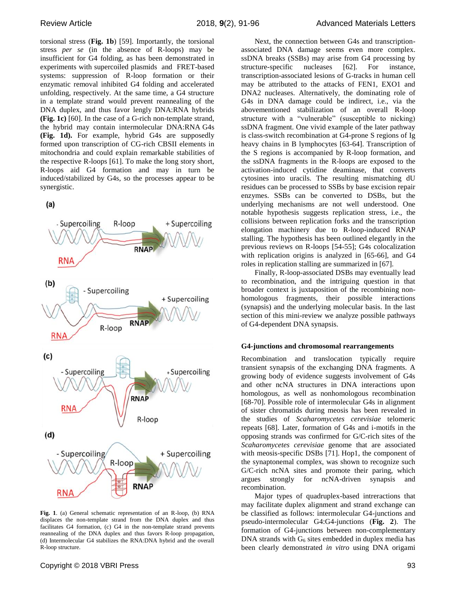torsional stress (**Fig. 1b**) [59]. Importantly, the torsional stress *per se* (in the absence of R-loops) may be insufficient for G4 folding, as has been demonstrated in experiments with supercoiled plasmids and FRET-based systems: suppression of R-loop formation or their enzymatic removal inhibited G4 folding and accelerated unfolding, respectively. At the same time, a G4 structure in a template strand would prevent reannealing of the DNA duplex, and thus favor lengly DNA:RNA hybrids **(Fig. 1c)** [60]. In the case of a G-rich non-template strand, the hybrid may contain intermolecular DNA:RNA G4s **(Fig. 1d).** For example, hybrid G4s are supposedly formed upon transcription of CG-rich CBSII elements in mitochondria and could explain remarkable stabilities of the respective R-loops [61]. To make the long story short, R-loops aid G4 formation and may in turn be induced/stabilized by G4s, so the processes appear to be synergistic.

 $(a)$ 



**Fig. 1**. (a) General schematic representation of an R-loop, (b) RNA displaces the non-template strand from the DNA duplex and thus facilitates G4 formation, (c) G4 in the non-template strand prevents reannealing of the DNA duplex and thus favors R-loop propagation, (d) Intermolecular G4 stabilizes the RNA:DNA hybrid and the overall R-loop structure.

Next, the connection between G4s and transcriptionassociated DNA damage seems even more complex. ssDNA breaks (SSBs) may arise from G4 processing by structure-specific nucleases [62]. For instance, transcription-associated lesions of G-tracks in human cell may be attributed to the attacks of FEN1, EXO1 and DNA2 nucleases. Alternatively, the dominating role of G4s in DNA damage could be indirect, i.e., via the abovementioned stabilization of an overall R-loop structure with a "vulnerable" (susceptible to nicking) ssDNA fragment. One vivid example of the later pathway is class-switch recombination at G4-prone S regions of Ig heavy chains in B lymphocytes [63-64]. Transcription of the S regions is accompanied by R-loop formation, and the ssDNA fragments in the R-loops are exposed to the activation-induced cytidine deaminase, that converts cytosines into uracils. The resulting mismatching dU residues can be processed to SSBs by base excision repair enzymes. SSBs can be converted to DSBs, but the underlying mechanisms are not well understood. One notable hypothesis suggests replication stress, i.e., the collisions between replication forks and the transcription elongation machinery due to R-loop-induced RNAP stalling. The hypothesis has been outlined elegantly in the previous reviews on R-loops [54-55]; G4s colocalization with replication origins is analyzed in [65-66], and G4 roles in replication stalling are summarized in [67].

Finally, R-loop-associated DSBs may eventually lead to recombination, and the intriguing question in that broader context is juxtaposition of the recombining nonhomologous fragments, their possible interactions (synapsis) and the underlying molecular basis. In the last section of this mini-review we analyze possible pathways of G4-dependent DNA synapsis.

## **G4-junctions and chromosomal rearrangements**

Recombination and translocation typically require transient synapsis of the exchanging DNA fragments. A growing body of evidence suggests involvement of G4s and other ncNA structures in DNA interactions upon homologous, as well as nonhomologous recombination [68-70]. Possible role of intermolecular G4s in alignment of sister chromatids during meosis has been revealed in the studies of *Scaharomycetes cerevisiae* telomeric repeats [68]. Later, formation of G4s and i-motifs in the opposing strands was confirmed for G/C-rich sites of the *Scaharomycetes cerevisiae* genome that are associated with meosis-specific DSBs [71]. Hop1, the component of the synaptonemal complex, was shown to recognize such G/C-rich ncNA sites and promote their paring, which argues strongly for ncNA-driven synapsis and recombination.

Major types of quadruplex-based intreractions that may facilitate duplex alignment and strand exchange can be classified as follows: intermolecular G4-junctions and pseudo-intermolecular G4:G4-junctions (**Fig. 2**). The formation of G4-junctions between non-complementary DNA strands with  $G<sub>6</sub>$  sites embedded in duplex media has been clearly demonstrated *in vitro* using DNA origami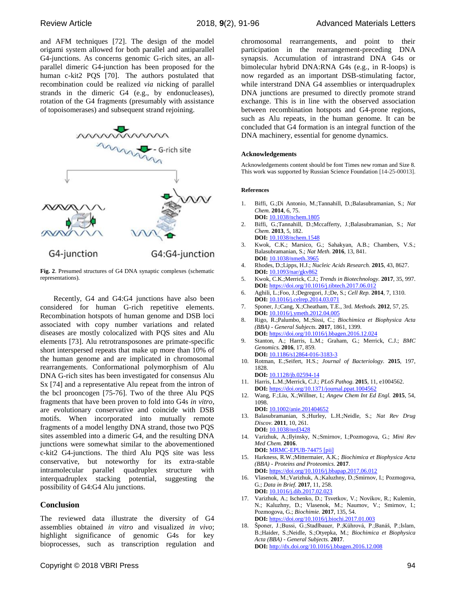and AFM techniques [72]. The design of the model origami system allowed for both parallel and antiparallel G4-junctions. As concerns genomic G-rich sites, an allparallel dimeric G4-junction has been proposed for the human c-kit2 PQS [70]. The authors postulated that recombination could be realized *via* nicking of parallel strands in the dimeric G4 (e.g., by endonucleases), rotation of the G4 fragments (presumably with assistance of topoisomerases) and subsequent strand rejoining.



**Fig. 2**. Presumed structures of G4 DNA synaptic complexes (schematic representations).

Recently, G4 and G4:G4 junctions have also been considered for human G-rich repetitive elements. Recombination hotspots of human genome and DSB loci associated with copy number variations and related diseases are mostly colocalized with PQS sites and Alu elements [73]. Alu retrotransposones are primate-specific short interspersed repeats that make up more than 10% of the human genome and are implicated in chromosomal rearrangements. Conformational polymorphism of Alu DNA G-rich sites has been investigated for consensus Alu Sx [74] and a representative Alu repeat from the intron of the bcl prooncogen [75-76]. Two of the three Alu PQS fragments that have been proven to fold into G4s *in vitro*, are evolutionary conservative and coincide with DSB motifs. When incorporated into mutually remote fragments of a model lengthy DNA strand, those two PQS sites assembled into a dimeric G4, and the resulting DNA junctions were somewhat similar to the abovementioned c-kit2 G4-junctions. The third Alu PQS site was less conservative, but noteworthy for its extra-stable intramolecular parallel quadruplex structure with interquadruplex stacking potential, suggesting the possibility of G4:G4 Alu junctions.

## **Conclusion**

The reviewed data illustrate the diversity of G4 assemblies obtained *in vitro* and visualized *in vivo*; highlight significance of genomic G4s for key bioprocesses, such as transcription regulation and

chromosomal rearrangements, and point to their participation in the rearrangement-preceding DNA synapsis. Accumulation of intrastrand DNA G4s or bimolecular hybrid DNA:RNA G4s (e.g., in R-loops) is now regarded as an important DSB-stimulating factor, while interstrand DNA G4 assemblies or interquadruplex DNA junctions are presumed to directly promote strand exchange. This is in line with the observed association between recombination hotspots and G4-prone regions, such as Alu repeats, in the human genome. It can be concluded that G4 formation is an integral function of the DNA machinery, essential for genome dynamics.

#### **Acknowledgements**

Acknowledgements content should be font Times new roman and Size 8. This work was supported by Russian Science Foundation [14-25-00013].

#### **References**

- 1. Biffi, G.;Di Antonio, M.;Tannahill, D.;Balasubramanian, S.; *Nat Chem.* **2014**, 6, 75. **DOI:** 10.1038/nchem.1805
- 2. Biffi, G.;Tannahill, D.;Mccafferty, J.;Balasubramanian, S.; *Nat Chem.* **2013**, 5, 182. **DOI:** 10.1038/nchem.1548
- 3. Kwok, C.K.; Marsico, G.; Sahakyan, A.B.; Chambers, V.S.; Balasubramanian, S.; *Nat Meth.* **2016**, 13, 841. **DOI:** 10.1038/nmeth.3965
- 4. Rhodes, D.;Lipps, H.J.; *Nucleic Acids Research.* **2015**, 43, 8627. **DOI:** 10.1093/nar/gkv862
- 5. Kwok, C.K.;Merrick, C.J.; *Trends in Biotechnology.* **2017**, 35, 997. **DOI:** https://doi.org/10.1016/j.tibtech.2017.06.012
- 6. Aghili, L.;Foo, J.;Degregori, J.;De, S.; *Cell Rep.* **2014**, 7, 1310. **DOI:** 10.1016/j.celrep.2014.03.071
- 7. Sponer, J.;Cang, X.;Cheatham, T.E., 3rd. *Methods.* **2012**, 57, 25. **DOI:** 10.1016/j.ymeth.2012.04.005
- 8. Rigo, R.;Palumbo, M.;Sissi, C.; *Biochimica et Biophysica Acta (BBA) - General Subjects.* **2017**, 1861, 1399. **DOI:** https://doi.org/10.1016/j.bbagen.2016.12.024
- 9. Stanton, A.; Harris, L.M.; Graham, G.; Merrick, C.J.; *BMC Genomics.* **2016**, 17, 859. **DOI:** 10.1186/s12864-016-3183-3
- 10. Rotman, E.;Seifert, H.S.; *Journal of Bacteriology.* **2015**, 197, 1828.

**DOI:** 10.1128/jb.02594-14

- 11. Harris, L.M.;Merrick, C.J.; *PLoS Pathog.* **2015**, 11, e1004562. **DOI:** <https://doi.org/10.1371/journal.ppat.1004562>
- 12. Wang, F.;Liu, X.;Willner, I.; *Angew Chem Int Ed Engl.* **2015**, 54, 1098. **DOI:** 10.1002/anie.201404652

13. Balasubramanian, S.;Hurley, L.H.;Neidle, S.; *Nat Rev Drug Discov.* **2011**, 10, 261. **DOI:** 10.1038/nrd3428

14. Varizhuk, A.;Ilyinsky, N.;Smirnov, I.;Pozmogova, G.; *Mini Rev Med Chem.* **2016**.

**DOI:** MRMC-EPUB-74475 [pii]

- 15. Harkness, R.W.;Mittermaier, A.K.; *Biochimica et Biophysica Acta (BBA) - Proteins and Proteomics.* **2017**. **DOI:** https://doi.org/10.1016/j.bbapap.2017.06.012
- 16. Vlasenok, M.;Varizhuk, A.;Kaluzhny, D.;Smirnov, I.; Pozmogova, G.; *Data in Brief.* **2017**, 11, 258. **DOI:** 10.1016/j.dib.2017.02.023
- 17. Varizhuk, A.; Ischenko, D.; Tsvetkov, V.; Novikov, R.; Kulemin, N.; Kaluzhny, D.; Vlasenok, M.; Naumov, V.; Smirnov, I.; Pozmogova, G.; *Biochimie.* **2017**, 135, 54. **DOI:** https://doi.org/10.1016/j.biochi.2017.01.003
- 18. Šponer, J.;Bussi, G.;Stadlbauer, P.;Kührová, P.;Banáš, P.;Islam, B.;Haider, S.;Neidle, S.;Otyepka, M.; *Biochimica et Biophysica Acta (BBA) - General Subjects.* **2017**. **DOI:** http://dx.doi.org/10.1016/j.bbagen.2016.12.008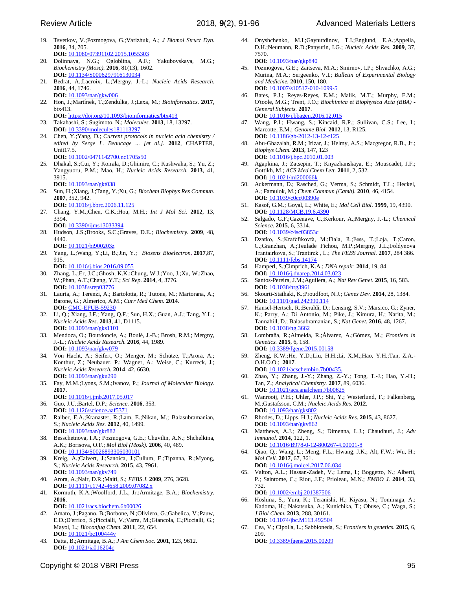- 19. Tsvetkov, V.;Pozmogova, G.;Varizhuk, A.; *J Biomol Struct Dyn.* **2016**, 34, 705. **DOI:** 10.1080/07391102.2015.1055303
- 20. Dolinnaya, N.G.; Ogloblina, A.F.; Yakubovskaya, M.G.; *[Biochemistry \(Mosc\).](https://www.ncbi.nlm.nih.gov/pubmed/28260487)* **2016***,* 81(13), 1602. **DOI:** 10.1134/S0006297916130034
- 21. Bedrat, A.;Lacroix, L.;Mergny, J.-L.; *Nucleic Acids Research.* **2016**, 44, 1746.
- **DOI:** 10.1093/nar/gkw006 22. Hon, J.;Martínek, T.;Zendulka, J.;Lexa, M.; *Bioinformatics.* **2017**, btx413.
- **DOI:** https://doi.org/10.1093/bioinformatics/btx413
- 23. Takahashi, S.; Sugimoto, N.; *Molecules.* **2013**, 18, 13297. **DOI:** 10.3390/molecules181113297
- 24. Chen, Y.;Yang, D.; *Current protocols in nucleic acid chemistry / edited by Serge L. Beaucage ... [et al.].* **2012**, CHAPTER, Unit17.5. **DOI:** 10.1002/0471142700.nc1705s50
- 25. Dhakal, S.;Cui, Y.; Koirala, D.;Ghimire, C.; Kushwaha, S.; Yu, Z.; Yangyuoru, P.M.; Mao, H.; *Nucleic Acids Research.* **2013**, 41, 3915. **DOI:** 10.1093/nar/gkt038
- 26. Sun, H.;Xiang, J.;Tang, Y.;Xu, G.; *Biochem Biophys Res Commun.* **2007**, 352, 942. **DOI:** 10.1016/j.bbrc.2006.11.125
- 27. Chang, Y.M.;Chen, C.K.;Hou, M.H.; *Int J Mol Sci.* **2012**, 13, 3394.
	- **DOI:** 10.3390/ijms13033394
- 28. Hudson, J.S.;Brooks, S.C.;Graves, D.E.; *Biochemistry.* **2009**, 48, 4440. **DOI:** 10.1021/bi900203z
- 29. Yang, L.;Wang, Y.;Li, B.;Jin, Y.; *[Biosens Bioelectron](https://www.ncbi.nlm.nih.gov/pubmed/?term=10.1016%2Fj.bios.2016.09.055)*. **2017**,87, 915.
	- **DOI:** 10.1016/j.bios.2016.09.055
- 30. Zhang, L.;Er, J.C.;Ghosh, K.K.;Chung, W.J.;Yoo, J.;Xu, W.;Zhao, W.;Phan, A.T.;Chang, Y.T.; *Sci Rep.* **2014**, 4, 3776. **DOI:** 10.1038/srep03776
- 31. Lauria, A.; Terenzi, A.; Bartolotta, R.; Tutone, M.; Martorana, A.; Barone, G.; Almerico, A.M.; *Curr Med Chem.* **2014**. **DOI:** CMC-EPUB-59230
- 32. Li, Q.; Xiang, J.F.; Yang, Q.F.; Sun, H.X.; Guan, A.J.; Tang, Y.L.; *Nucleic Acids Res.* **2013**, 41, D1115. **DOI:** 10.1093/nar/gks1101
- 33. Mendoza, O.; Bourdoncle, A.; Boulé, J.-B.; Brosh, R.M.; Mergny, J.-L.; *Nucleic Acids Research.* **2016**, 44, 1989. **DOI:** 10.1093/nar/gkw079
- 34. Von Hacht, A.; Seifert, O.; Menger, M.; Schütze, T.;Arora, A.; Konthur, Z.; Neubauer, P.; Wagner, A.; Weise, C.; Kurreck, J.; *Nucleic Acids Research.* **2014**, 42, 6630. **DOI:** 10.1093/nar/gku290
- 35. Fay, M.M.;Lyons, S.M.;Ivanov, P.; *Journal of Molecular Biology.* **2017**.
	- **DOI:** 10.1016/j.jmb.2017.05.017
- 36. Guo, J.U.;Bartel, D.P.; *Science.* **2016**, 353. **DOI:** 10.1126/science.aaf5371
- 37. Raiber, E.A.;Kranaster, R.;Lam, E.;Nikan, M.; Balasubramanian, S.; *Nucleic Acids Res.* **2012**, 40, 1499. **DOI:** 10.1093/nar/gkr882
- 38. Besschetnova, I.A.; Pozmogova, G.E.; Chuvilin, A.N.; Shchelkina, A.K.; Borisova, O.F.; *Mol Biol (Mosk).* **2006**, 40, 489. **DOI:** 10.1134/S0026893306030101
- 39. Kreig, A.;Calvert, J.;Sanoica, J.;Cullum, E.;Tipanna, R.;Myong, S.; *Nucleic Acids Research.* **2015**, 43, 7961. **DOI:** 10.1093/nar/gkv749
- 40. Arora, A.;Nair, D.R.;Maiti, S.; *FEBS J.* **2009**, 276, 3628. **DOI:** 10.1111/j.1742-4658.2009.07082.x
- 41. Kormuth, K.A.;Woolford, J.L., Jr.;Armitage, B.A.; *Biochemistry.* **2016**. **DOI:** 10.1021/acs.biochem.6b00026
- 42. Amato, J.;Pagano, B.;Borbone, N.;Oliviero, G.;Gabelica, V.;Pauw,
- E.D.;D'errico, S.;Piccialli, V.;Varra, M.;Giancola, C.;Piccialli, G.; Mayol, L.; *Bioconjug Chem.* **2011**, 22, 654. **DOI:** 10.1021/bc100444v
- 43. Datta, B.;Armitage, B.A.; *J Am Chem Soc.* **2001**, 123, 9612. **DOI:** 10.1021/ja016204c

44. Onyshchenko, M.I.;Gaynutdinov, T.I.;Englund, E.A.;Appella, D.H.;Neumann, R.D.;Panyutin, I.G.; *Nucleic Acids Res.* **2009**, 37, 7570.

**DOI:** 10.1093/nar/gkp840

- 45. Pozmogova, G.E.; Zaitseva, M.A.; Smirnov, I.P.; Shvachko, A.G.; Murina, M.A.; Sergeenko, V.I.; *Bulletin of Experimental Biology and Medicine.* **2010**, 150, 180. **DOI:** 10.1007/s10517-010-1099-5
- 46. Bates, P.J.; Reyes-Reyes, E.M.; Malik, M.T.; Murphy, E.M.; O'toole, M.G.; Trent, J.O.; *Biochimica et Biophysica Acta (BBA) - General Subjects.* **2017**. **DOI:** 10.1016/j.bbagen.2016.12.015
- 47. Wang, P.I.; Hwang, S.; Kincaid, R.P.; Sullivan, C.S.; Lee, I.; Marcotte, E.M.; *Genome Biol.* **2012**, 13, R125. **DOI:** 10.1186/gb-2012-13-12-r125
- 48. Abu-Ghazalah, R.M.; Irizar, J.; Helmy, A.S.; Macgregor, R.B., Jr.; *Biophys Chem.* **2013**, 147, 123 **DOI:** 10.1016/j.bpc.2010.01.003
- 49. Agapkina, J.; Zatsepin, T.; Knyazhanskaya, E.; Mouscadet, J.F.; Gottikh, M.; *ACS Med Chem Lett.* **2011**, 2, 532. **DOI:** 10.1021/ml200066k
- 50. Ackermann, D.; Rasched, G.; Verma, S.; Schmidt, T.L.; Heckel, A.; Famulok, M.; *Chem Commun (Camb).* **2010**, 46, 4154. **DOI:** 10.1039/c0cc00390e
- 51. Kasof, G.M.; Goyal, L.; White, E.; *Mol Cell Biol.* **1999**, 19, 4390. **DOI:** 10.1128/MCB.19.6.4390
- 52. Salgado, G.F.;Cazenave, C.;Kerkour, A.;Mergny, J.-L.; *Chemical Science.* **2015**, 6, 3314. **DOI:** 10.1039/c4sc03853
- 53. Dzatko, S.;Krafcfıkovfa, M.;Fiala, R.;Fess, T.;Loja, T.;Caron, C.;Granzhan, A.;Teulade Fichou, M.P.;Mergny, J.L.;Foldynova Trantaırkova, S.; Trantırek , L.; *The FEBS Journal.* **2017**, 284 386. **DOI:** 10.1111/febs.14174
- 54. Hamperl, S.;Cimprich, K.A.; *DNA repair.* **2014**, 19, 84. **DOI:** 10.1016/j.dnarep.2014.03.023
- 55. Santos-Pereira, J.M.;Aguilera, A.; *Nat Rev Genet.* **2015**, 16, 583. **DOI:** 10.1038/nrg3961
- 56. Skourti-Stathaki, K.;Proudfoot, N.J.; *Genes Dev.* **2014**, 28, 1384. **DOI:** 10.1101/gad.242990.114
- 57. Hansel-Hertsch, R.;Beraldi, D.; Lensing, S.V.; Marsico, G.; Zyner, K.; Parry, A.; Di Antonio, M.; Pike, J.; Kimura, H.; Narita, M.; Tannahill, D.; Balasubramanian, S.; *Nat Genet.* **2016**, 48, 1267. **DOI:** 10.1038/ng.3662
- 58. Lombraña, R.;Almeida, R.;Álvarez, A.;Gómez, M.; *Frontiers in Genetics.* **2015**, 6, 158. **DOI:** 10.3389/fgene.2015.00158
- 59. Zheng, K.W.;He, Y.D.;Liu, H.H.;Li, X.M.;Hao, Y.H.;Tan, Z.A.- O.H.O.O.; **2017**.
- **DOI:** 10.1021/acschembio.7b00435. 60. Zhao, Y.; Zhang, J.-Y.; Zhang, Z.-Y.; Tong, T.-J.; Hao, Y.-H.; Tan, Z.; *Analytical Chemistry.* **2017**, 89, 6036.
- **DOI:** 10.1021/acs.analchem.7b00625 61. Wanrooij, P.H.; Uhler, J.P.; Shi, Y.; Westerlund, F.; Falkenberg, M.;Gustafsson, C.M.; *Nucleic Acids Res.* **2012**. **DOI:** 10.1093/nar/gks802
- 62. Rhodes, D.; Lipps, H.J.; *Nucleic Acids Res.* **2015**, 43, 8627. **DOI:** 10.1093/nar/gkv862
- 63. Matthews, A.J.; Zheng, S.; Dimenna, L.J.; Chaudhuri, J.; *Adv Immunol.* **2014**, 122, 1.
- **DOI:** 10.1016/B978-0-12-800267-4.00001-8 64. Qiao, Q.; Wang, L.; Meng, F.L.; Hwang, J.K.; Alt, F.W.; Wu, H.; *Mol Cell.* **2017**, 67, 361. **DOI:** 10.1016/j.molcel.2017.06.034
- 65. Valton, A.L.; Hassan-Zadeh, V.; Lema, I.; Boggetto, N.; Alberti, P.; Saintome, C.; Riou, J.F.; Prioleau, M.N.; *EMBO J.* **2014**, 33, 732.

**DOI:** 10.1002/embj.201387506

- 66. Hoshina, S.; Yura, K.; Teranishi, H.; Kiyasu, N.; Tominaga, A.; Kadoma, H.; Nakatsuka, A.; Kunichika, T.; Obuse, C.; Waga, S.; *J Biol Chem.* **2013**, 288, 30161. **DOI:** 10.1074/jbc.M113.492504
- 67. Cea, V.; Cipolla, L.; Sabbioneda, S.; *Frontiers in genetics.* **2015**, 6, 209.
	- **DOI:** [10.3389/fgene.2015.00209](https://dx.doi.org/10.3389%2Ffgene.2015.00209)